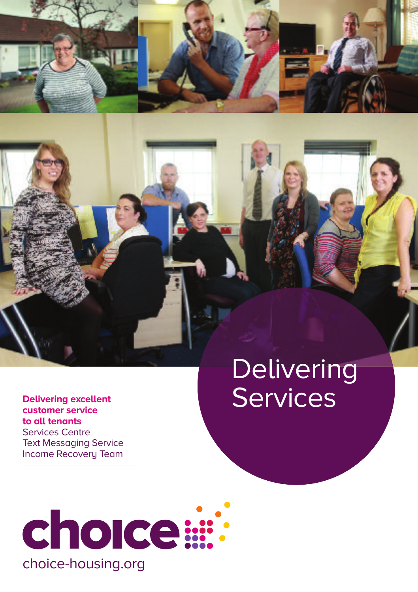

### Delivering **Services**

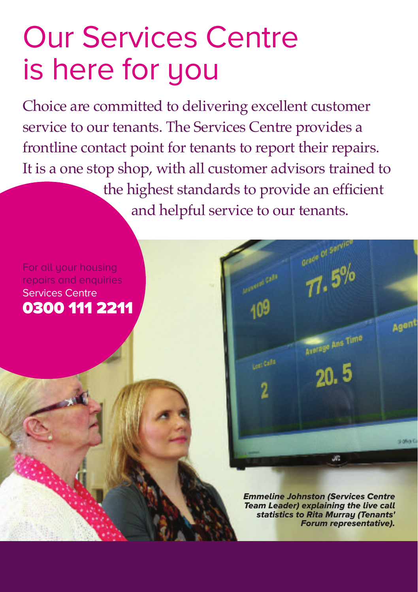### Our Services Centre is here for you

Choice are committed to delivering excellent customer service to our tenants. The Services Centre provides a frontline contact point for tenants to report their repairs. It is a one stop shop, with all customer advisors trained to the highest standards to provide an efficient and helpful service to our tenants.

#### For all your housing repairs and enquiries Services Centre **0300 111 2211**

*Emmeline Johnston (Services Centre Team Leader) explaining the live call statistics to Rita Murray (Tenants' Forum representative).*

 $7.5%$ 

Annage Ans Time

 $20.5$ 

JВ

Lost Calls

Agent

**Dalling** Co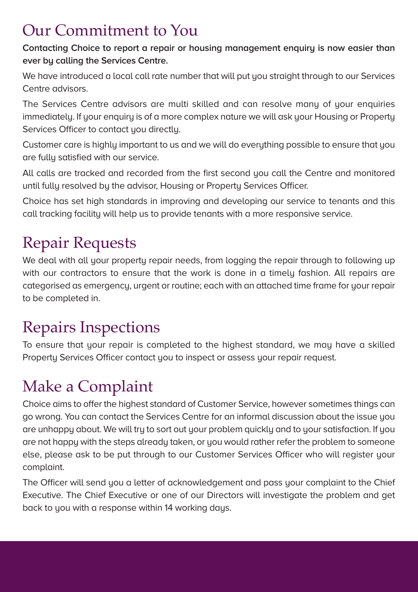#### Our Commitment to You

**Contacting Choice to report a repair or housing management enquiry is now easier than ever by calling the Services Centre.**

We have introduced a local call rate number that will put you straight through to our Services Centre advisors.

The Services Centre advisors are multi skilled and can resolve many of your enquiries immediately. If your enquiry is of a more complex nature we will ask your Housing or Property Services Officer to contact you directly.

Customer care is highly important to us and we will do everything possible to ensure that you are fully satisfied with our service.

All calls are tracked and recorded from the first second you call the Centre and monitored until fully resolved by the advisor, Housing or Property Services Officer.

Choice has set high standards in improving and developing our service to tenants and this call tracking facility will help us to provide tenants with a more responsive service.

#### Repair Requests

We deal with all your property repair needs, from logging the repair through to following up with our contractors to ensure that the work is done in a timely fashion. All repairs are categorised as emergency, urgent or routine; each with an attached time frame for your repair to be completed in.

#### Repairs Inspections

To ensure that your repair is completed to the highest standard, we may have a skilled Property Services Officer contact you to inspect or assess your repair request.

#### Make a Complaint

Choice aims to offer the highest standard of Customer Service, however sometimes things can go wrong. You can contact the Services Centre for an informal discussion about the issue you are unhappy about. We will try to sort out your problem quickly and to your satisfaction. If you are not happy with the steps already taken, or you would rather refer the problem to someone else, please ask to be put through to our Customer Services Officer who will register your complaint.

The Officer will send you a letter of acknowledgement and pass your complaint to the Chief Executive. The Chief Executive or one of our Directors will investigate the problem and get back to you with a response within 14 working days.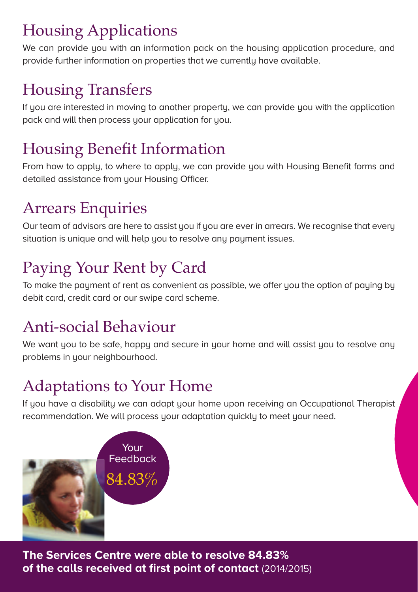#### Housing Applications

We can provide you with an information pack on the housing application procedure, and provide further information on properties that we currently have available.

#### Housing Transfers

If you are interested in moving to another property, we can provide you with the application pack and will then process your application for you.

#### Housing Benefit Information

From how to apply, to where to apply, we can provide you with Housing Benefit forms and detailed assistance from your Housing Officer.

#### Arrears Enquiries

Our team of advisors are here to assist you if you are ever in arrears. We recognise that every situation is unique and will help you to resolve any payment issues.

### Paying Your Rent by Card

To make the payment of rent as convenient as possible, we offer you the option of paying by debit card, credit card or our swipe card scheme.

#### Anti-social Behaviour

We want you to be safe, happy and secure in your home and will assist you to resolve any problems in your neighbourhood.

#### Adaptations to Your Home

If you have a disability we can adapt your home upon receiving an Occupational Therapist recommendation. We will process your adaptation quickly to meet your need.



**The Services Centre were able to resolve 84.83% of the calls received at first point of contact** (2014/2015)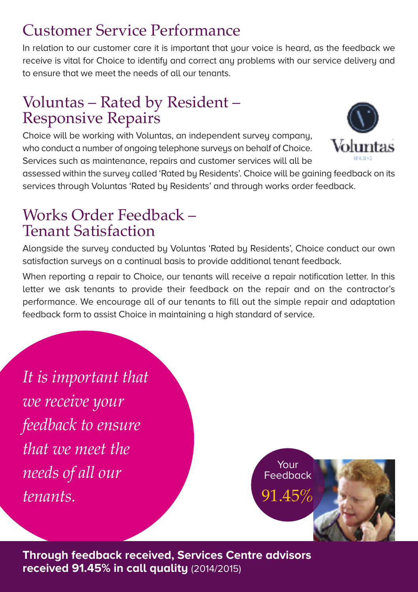#### Customer Service Performance

In relation to our customer care it is important that your voice is heard, as the feedback we receive is vital for Choice to identifu and correct any problems with our service delivery and to ensure that we meet the needs of all our tenants.

## Voluntas – Rated by Resident – Responsive Repairs

Choice will be working with Voluntas, an independent survey company, who conduct a number of ongoing telephone surveys on behalf of Choice. Services such as maintenance, repairs and customer services will all be



assessed within the survey called 'Rated by Residents'. Choice will be gaining feedback on its services through Voluntas 'Rated by Residents' and through works order feedback.

## Works Order Feedback – Tenant Satisfaction

Alongside the survey conducted by Voluntas 'Rated by Residents', Choice conduct our own satisfaction surveus on a continual basis to provide additional tenant feedback.

When reporting a repair to Choice, our tenants will receive a repair notification letter. In this letter we ask tenants to provide their feedback on the repair and on the contractor's performance. We encourage all of our tenants to fill out the simple repair and adaptation feedback form to assist Choice in maintaining a high standard of service.

*It is important that we receive your feedback to ensure that we meet the needs of all our tenants.*

Your Feedback 91.45%

**Through feedback received, Services Centre advisors received 91.45% in call quality** (2014/2015)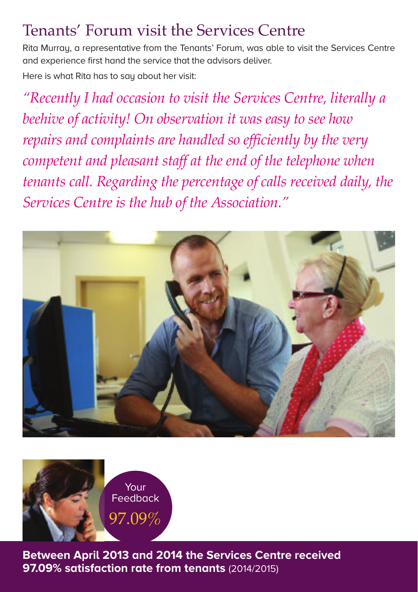#### Tenants' Forum visit the Services Centre

Rita Murray, a representative from the Tenants' Forum, was able to visit the Services Centre and experience first hand the service that the advisors deliver.

Here is what Rita has to say about her visit:

*"Recently I had occasion to visit the Services Centre, literally a beehive of activity! On observation it was easy to see how repairs and complaints are handled so efficiently by the very competent and pleasant staff at the end of the telephone when tenants call. Regarding the percentage of calls received daily, the Services Centre is the hub of the Association."*





**Between April 2013 and 2014 the Services Centre received 97.09% satisfaction rate from tenants** (2014/2015)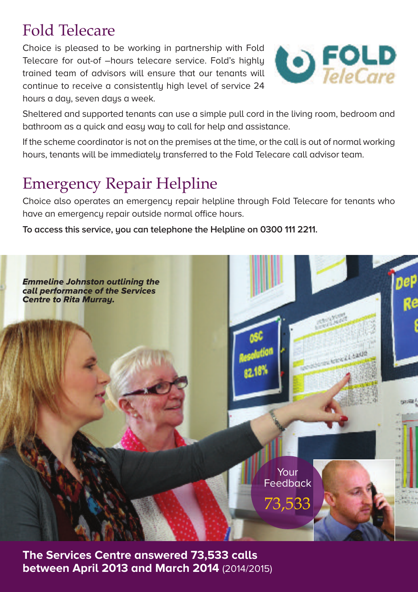#### Fold Telecare

Choice is pleased to be working in partnership with Fold Telecare for out-of –hours telecare service. Fold's highly trained team of advisors will ensure that our tenants will continue to receive a consistently high level of service 24 hours a day, seven days a week.



Sheltered and supported tenants can use a simple pull cord in the living room, bedroom and bathroom as a quick and easy way to call for help and assistance.

If the scheme coordinator is not on the premises at the time, or the call is out of normal working hours, tenants will be immediately transferred to the Fold Telecare call advisor team.

#### Emergency Repair Helpline

Choice also operates an emergency repair helpline through Fold Telecare for tenants who have an emergency repair outside normal office hours.

**To access this service, you can telephone the Helpline on 0300 111 2211.**



**The Services Centre answered 73,533 calls between April 2013 and March 2014** (2014/2015)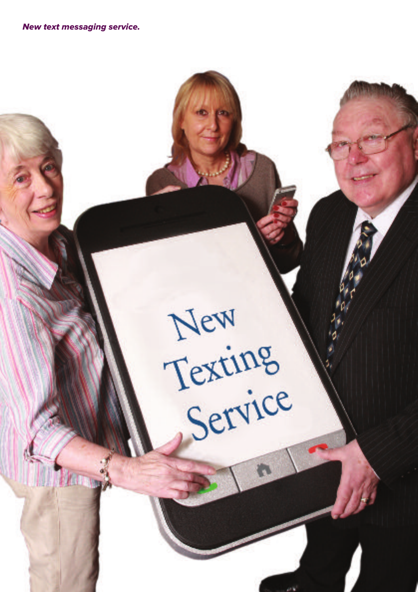*New text messaging service.*

New Texting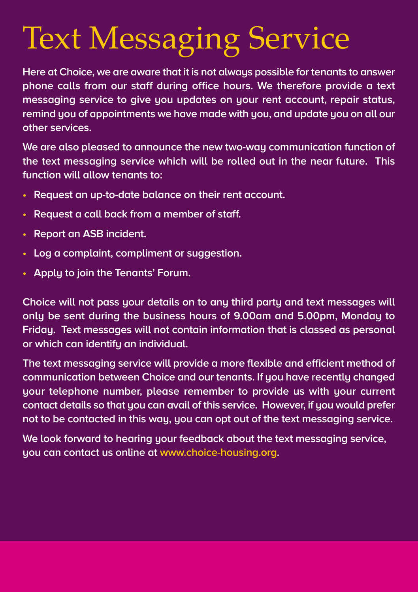# Text Messaging Service

**Here at Choice, we are aware that it is not always possible for tenants to answer phone calls from our staff during office hours. We therefore provide a text messaging service to give you updates on your rent account, repair status, remind you of appointments we have made with you, and update you on all our other services.**

**We are also pleased to announce the new two-way communication function of the text messaging service which will be rolled out in the near future. This function will allow tenants to:**

- **• Request an up-to-date balance on their rent account.**
- **• Request a call back from a member of staff.**
- **• Report an ASB incident.**
- **• Log a complaint, compliment or suggestion.**
- **• Apply to join the Tenants' Forum.**

**Choice will not pass your details on to any third party and text messages will only be sent during the business hours of 9.00am and 5.00pm, Monday to Friday. Text messages will not contain information that is classed as personal or which can identify an individual.**

**The text messaging service will provide a more flexible and efficient method of communication between Choice and our tenants. If you have recently changed your telephone number, please remember to provide us with your current contact details so that you can avail of this service. However, if you would prefer not to be contacted in this way, you can opt out of the text messaging service.**

**We look forward to hearing your feedback about the text messaging service, you can contact us online at www.choice-housing.org.**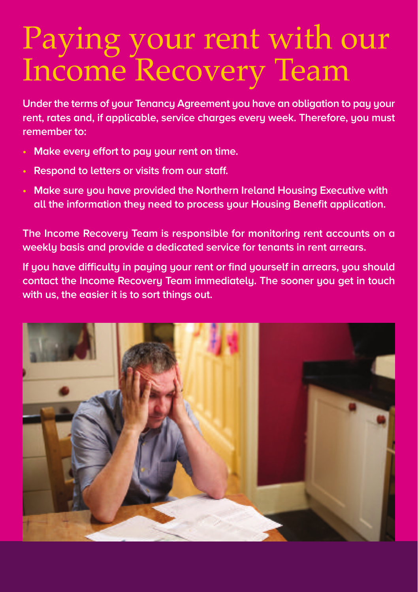## Paying your rent with our Income Recovery Team

**Under the terms of your Tenancy Agreement you have an obligation to pay your rent, rates and, if applicable, service charges every week. Therefore, you must remember to:**

- **• Make every effort to pay your rent on time.**
- **• Respond to letters or visits from our staff.**
- **• Make sure you have provided the Northern Ireland Housing Executive with all the information they need to process your Housing Benefit application.**

**The Income Recovery Team is responsible for monitoring rent accounts on a weekly basis and provide a dedicated service for tenants in rent arrears.**

**If you have difficulty in paying your rent or find yourself in arrears, you should contact the Income Recovery Team immediately. The sooner you get in touch with us, the easier it is to sort things out.**

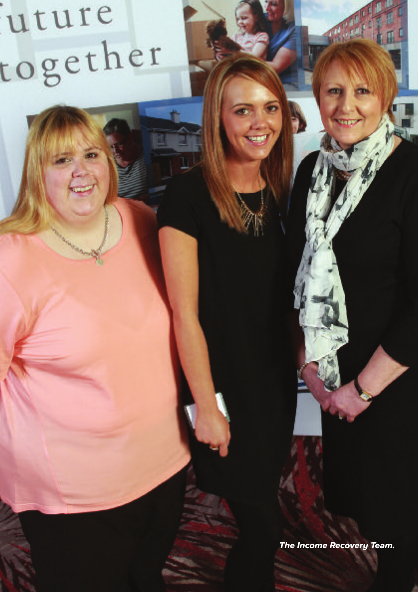uture together

*The Income Recovery Team.*

细